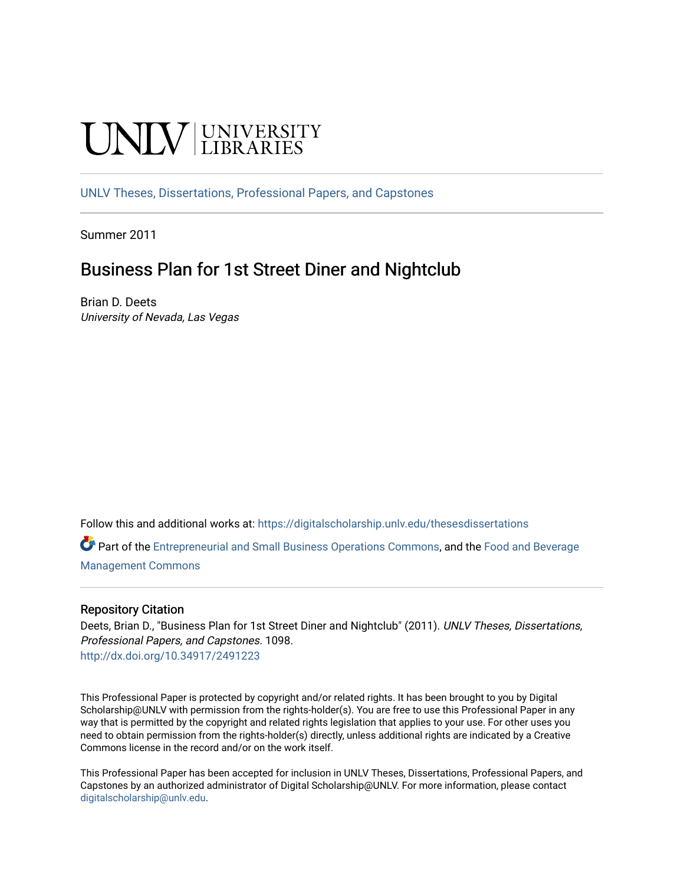# **INIVERSITY**

[UNLV Theses, Dissertations, Professional Papers, and Capstones](https://digitalscholarship.unlv.edu/thesesdissertations)

Summer 2011

# Business Plan for 1st Street Diner and Nightclub

Brian D. Deets University of Nevada, Las Vegas

Follow this and additional works at: [https://digitalscholarship.unlv.edu/thesesdissertations](https://digitalscholarship.unlv.edu/thesesdissertations?utm_source=digitalscholarship.unlv.edu%2Fthesesdissertations%2F1098&utm_medium=PDF&utm_campaign=PDFCoverPages)

Part of the [Entrepreneurial and Small Business Operations Commons,](http://network.bepress.com/hgg/discipline/630?utm_source=digitalscholarship.unlv.edu%2Fthesesdissertations%2F1098&utm_medium=PDF&utm_campaign=PDFCoverPages) and the [Food and Beverage](http://network.bepress.com/hgg/discipline/1089?utm_source=digitalscholarship.unlv.edu%2Fthesesdissertations%2F1098&utm_medium=PDF&utm_campaign=PDFCoverPages)  [Management Commons](http://network.bepress.com/hgg/discipline/1089?utm_source=digitalscholarship.unlv.edu%2Fthesesdissertations%2F1098&utm_medium=PDF&utm_campaign=PDFCoverPages)

#### Repository Citation

Deets, Brian D., "Business Plan for 1st Street Diner and Nightclub" (2011). UNLV Theses, Dissertations, Professional Papers, and Capstones. 1098. <http://dx.doi.org/10.34917/2491223>

This Professional Paper is protected by copyright and/or related rights. It has been brought to you by Digital Scholarship@UNLV with permission from the rights-holder(s). You are free to use this Professional Paper in any way that is permitted by the copyright and related rights legislation that applies to your use. For other uses you need to obtain permission from the rights-holder(s) directly, unless additional rights are indicated by a Creative Commons license in the record and/or on the work itself.

This Professional Paper has been accepted for inclusion in UNLV Theses, Dissertations, Professional Papers, and Capstones by an authorized administrator of Digital Scholarship@UNLV. For more information, please contact [digitalscholarship@unlv.edu](mailto:digitalscholarship@unlv.edu).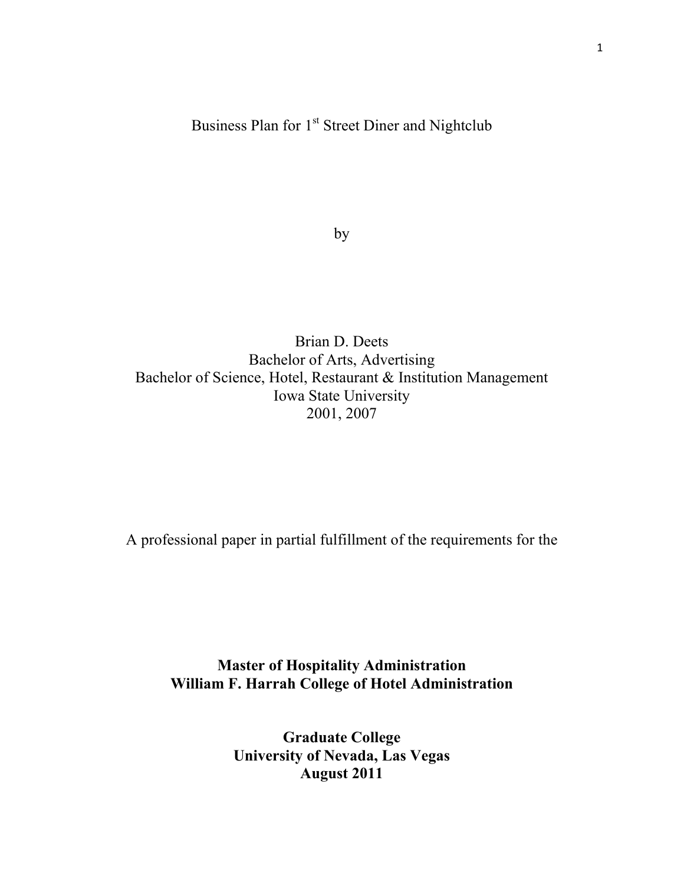## Business Plan for 1<sup>st</sup> Street Diner and Nightclub

by

Brian D. Deets Bachelor of Arts, Advertising Bachelor of Science, Hotel, Restaurant & Institution Management Iowa State University 2001, 2007

A professional paper in partial fulfillment of the requirements for the

**Master of Hospitality Administration William F. Harrah College of Hotel Administration**

> **Graduate College University of Nevada, Las Vegas August 2011**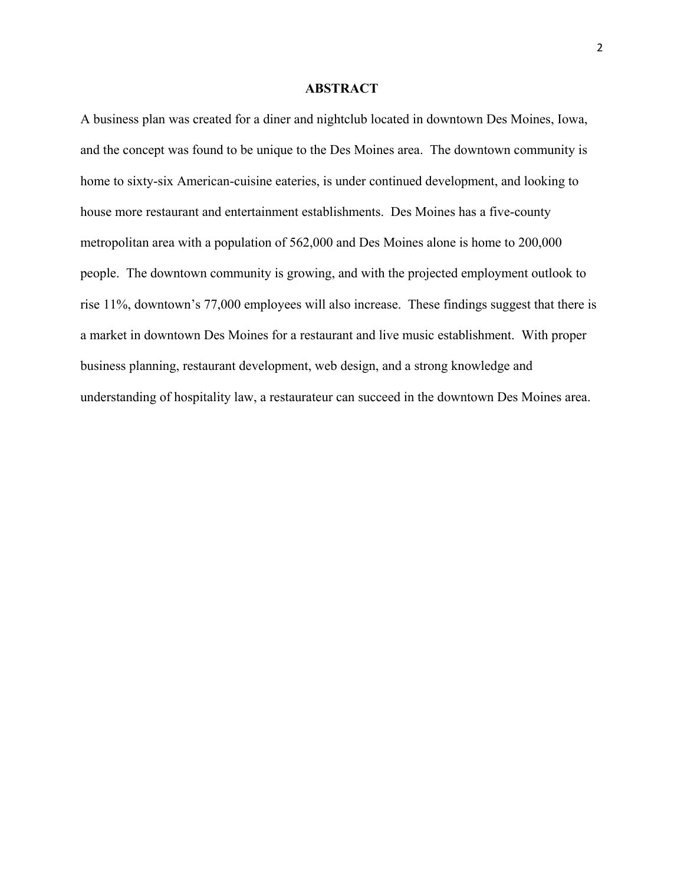#### **ABSTRACT**

A business plan was created for a diner and nightclub located in downtown Des Moines, Iowa, and the concept was found to be unique to the Des Moines area. The downtown community is home to sixty-six American-cuisine eateries, is under continued development, and looking to house more restaurant and entertainment establishments. Des Moines has a five-county metropolitan area with a population of 562,000 and Des Moines alone is home to 200,000 people. The downtown community is growing, and with the projected employment outlook to rise 11%, downtown's 77,000 employees will also increase. These findings suggest that there is a market in downtown Des Moines for a restaurant and live music establishment. With proper business planning, restaurant development, web design, and a strong knowledge and understanding of hospitality law, a restaurateur can succeed in the downtown Des Moines area.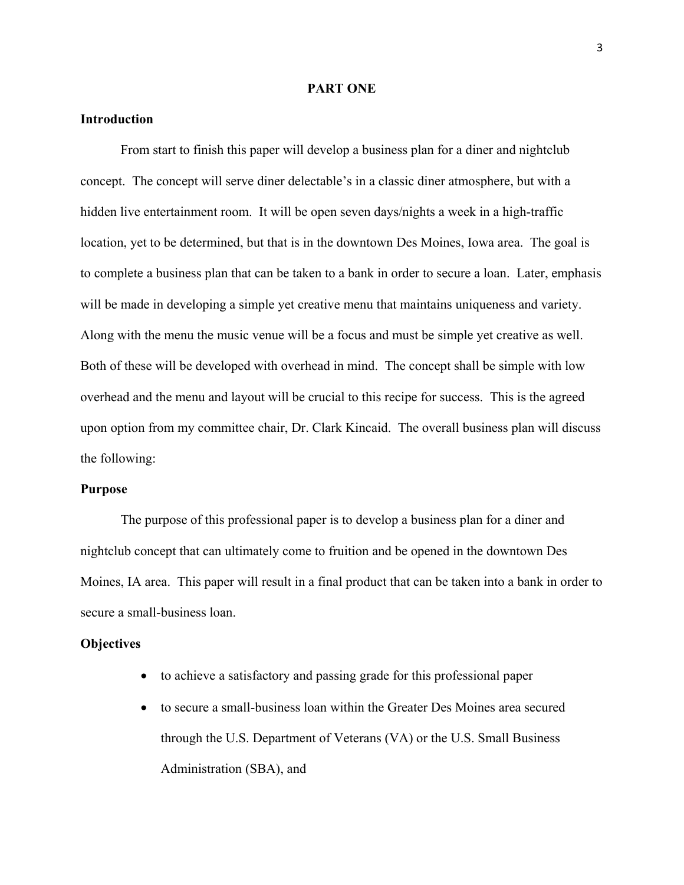#### **PART ONE**

#### **Introduction**

From start to finish this paper will develop a business plan for a diner and nightclub concept. The concept will serve diner delectable's in a classic diner atmosphere, but with a hidden live entertainment room. It will be open seven days/nights a week in a high-traffic location, yet to be determined, but that is in the downtown Des Moines, Iowa area. The goal is to complete a business plan that can be taken to a bank in order to secure a loan. Later, emphasis will be made in developing a simple yet creative menu that maintains uniqueness and variety. Along with the menu the music venue will be a focus and must be simple yet creative as well. Both of these will be developed with overhead in mind. The concept shall be simple with low overhead and the menu and layout will be crucial to this recipe for success. This is the agreed upon option from my committee chair, Dr. Clark Kincaid. The overall business plan will discuss the following:

#### **Purpose**

The purpose of this professional paper is to develop a business plan for a diner and nightclub concept that can ultimately come to fruition and be opened in the downtown Des Moines, IA area. This paper will result in a final product that can be taken into a bank in order to secure a small-business loan.

#### **Objectives**

- to achieve a satisfactory and passing grade for this professional paper
- to secure a small-business loan within the Greater Des Moines area secured through the U.S. Department of Veterans (VA) or the U.S. Small Business Administration (SBA), and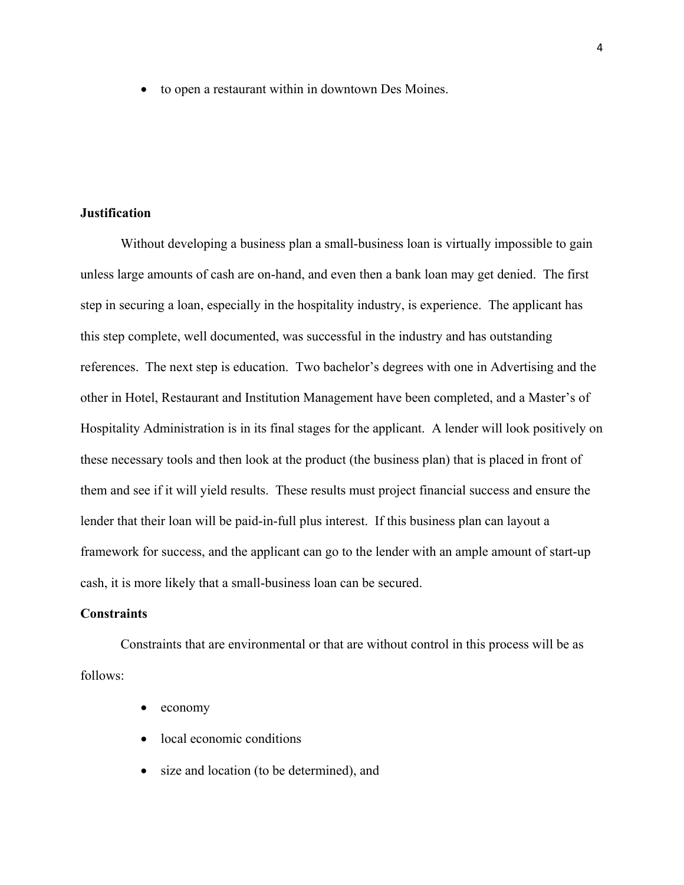• to open a restaurant within in downtown Des Moines.

#### **Justification**

Without developing a business plan a small-business loan is virtually impossible to gain unless large amounts of cash are on-hand, and even then a bank loan may get denied. The first step in securing a loan, especially in the hospitality industry, is experience. The applicant has this step complete, well documented, was successful in the industry and has outstanding references. The next step is education. Two bachelor's degrees with one in Advertising and the other in Hotel, Restaurant and Institution Management have been completed, and a Master's of Hospitality Administration is in its final stages for the applicant. A lender will look positively on these necessary tools and then look at the product (the business plan) that is placed in front of them and see if it will yield results. These results must project financial success and ensure the lender that their loan will be paid-in-full plus interest. If this business plan can layout a framework for success, and the applicant can go to the lender with an ample amount of start-up cash, it is more likely that a small-business loan can be secured.

#### **Constraints**

Constraints that are environmental or that are without control in this process will be as follows:

- economy
- local economic conditions
- size and location (to be determined), and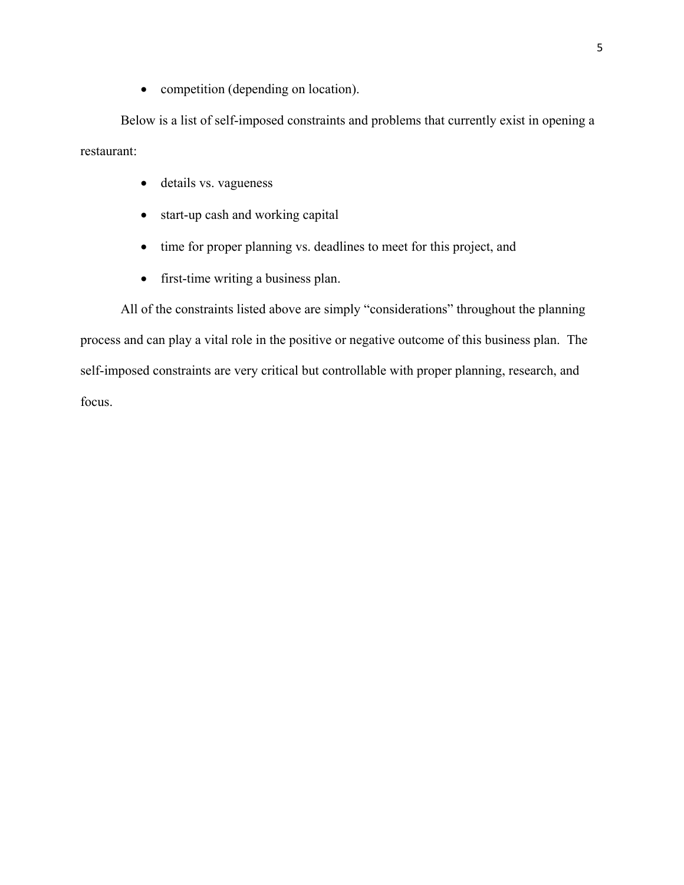• competition (depending on location).

Below is a list of self-imposed constraints and problems that currently exist in opening a restaurant:

- details vs. vagueness
- start-up cash and working capital
- time for proper planning vs. deadlines to meet for this project, and
- first-time writing a business plan.

All of the constraints listed above are simply "considerations" throughout the planning process and can play a vital role in the positive or negative outcome of this business plan. The self-imposed constraints are very critical but controllable with proper planning, research, and focus.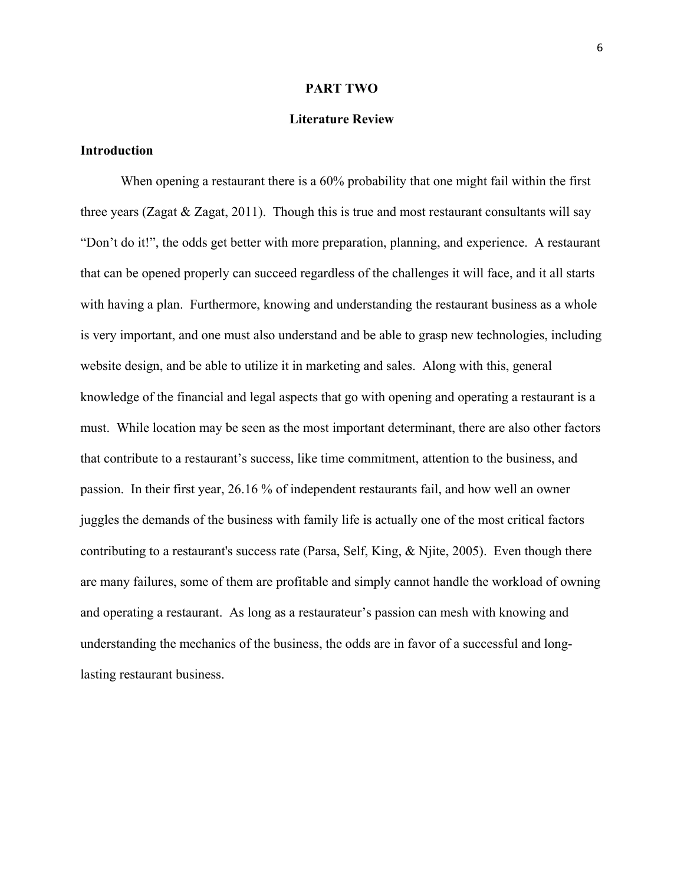#### **PART TWO**

#### **Literature Review**

#### **Introduction**

When opening a restaurant there is a 60% probability that one might fail within the first three years (Zagat  $\&$  Zagat, 2011). Though this is true and most restaurant consultants will say "Don't do it!", the odds get better with more preparation, planning, and experience. A restaurant that can be opened properly can succeed regardless of the challenges it will face, and it all starts with having a plan. Furthermore, knowing and understanding the restaurant business as a whole is very important, and one must also understand and be able to grasp new technologies, including website design, and be able to utilize it in marketing and sales. Along with this, general knowledge of the financial and legal aspects that go with opening and operating a restaurant is a must. While location may be seen as the most important determinant, there are also other factors that contribute to a restaurant's success, like time commitment, attention to the business, and passion. In their first year, 26.16 % of independent restaurants fail, and how well an owner juggles the demands of the business with family life is actually one of the most critical factors contributing to a restaurant's success rate (Parsa, Self, King, & Njite, 2005). Even though there are many failures, some of them are profitable and simply cannot handle the workload of owning and operating a restaurant. As long as a restaurateur's passion can mesh with knowing and understanding the mechanics of the business, the odds are in favor of a successful and longlasting restaurant business.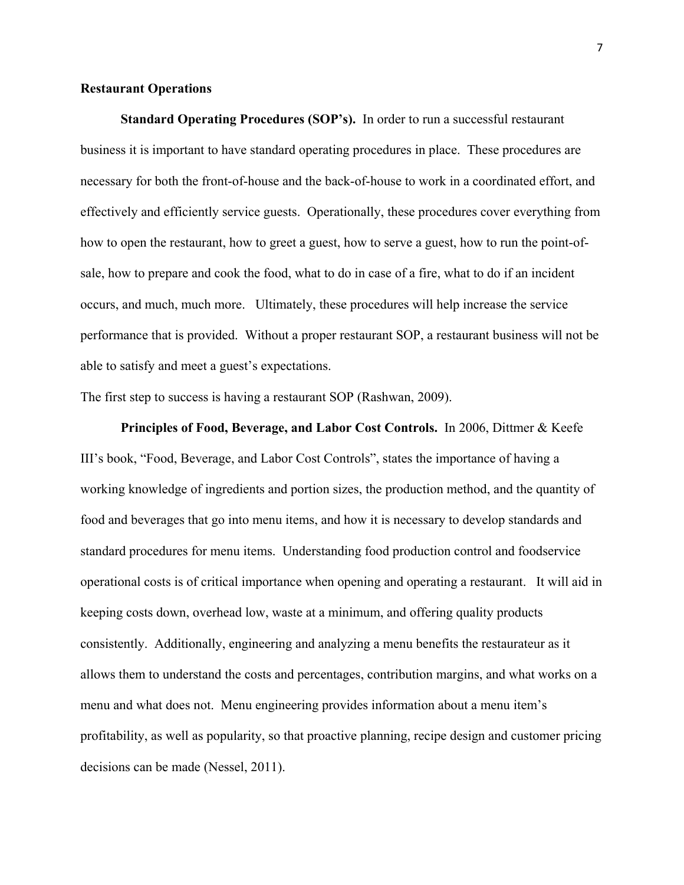#### **Restaurant Operations**

**Standard Operating Procedures (SOP's).** In order to run a successful restaurant business it is important to have standard operating procedures in place. These procedures are necessary for both the front-of-house and the back-of-house to work in a coordinated effort, and effectively and efficiently service guests. Operationally, these procedures cover everything from how to open the restaurant, how to greet a guest, how to serve a guest, how to run the point-ofsale, how to prepare and cook the food, what to do in case of a fire, what to do if an incident occurs, and much, much more. Ultimately, these procedures will help increase the service performance that is provided. Without a proper restaurant SOP, a restaurant business will not be able to satisfy and meet a guest's expectations.

The first step to success is having a restaurant SOP (Rashwan, 2009).

**Principles of Food, Beverage, and Labor Cost Controls.** In 2006, Dittmer & Keefe III's book, "Food, Beverage, and Labor Cost Controls", states the importance of having a working knowledge of ingredients and portion sizes, the production method, and the quantity of food and beverages that go into menu items, and how it is necessary to develop standards and standard procedures for menu items. Understanding food production control and foodservice operational costs is of critical importance when opening and operating a restaurant. It will aid in keeping costs down, overhead low, waste at a minimum, and offering quality products consistently. Additionally, engineering and analyzing a menu benefits the restaurateur as it allows them to understand the costs and percentages, contribution margins, and what works on a menu and what does not. Menu engineering provides information about a menu item's profitability, as well as popularity, so that proactive planning, recipe design and customer pricing decisions can be made (Nessel, 2011).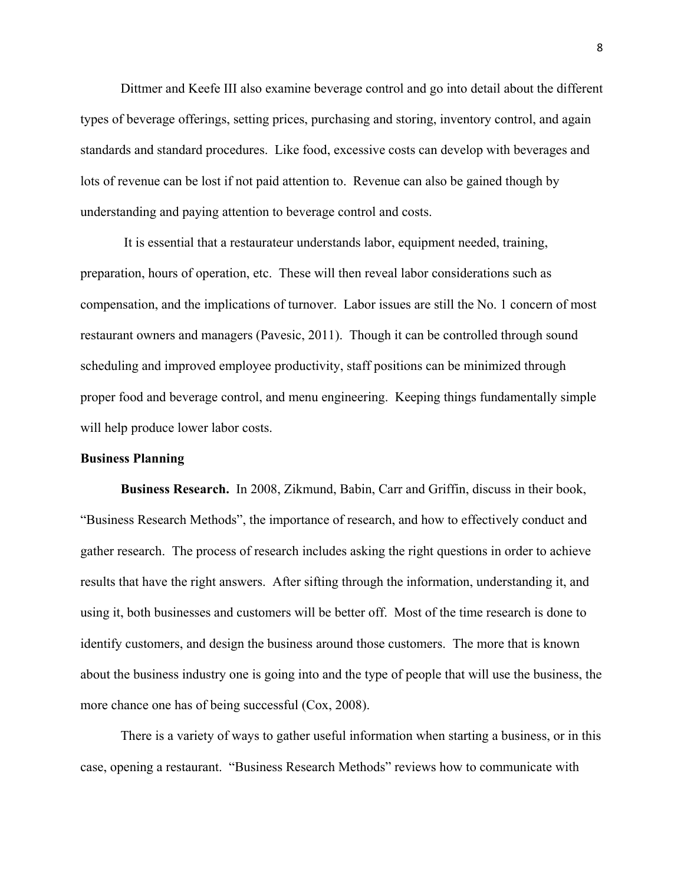Dittmer and Keefe III also examine beverage control and go into detail about the different types of beverage offerings, setting prices, purchasing and storing, inventory control, and again standards and standard procedures. Like food, excessive costs can develop with beverages and lots of revenue can be lost if not paid attention to. Revenue can also be gained though by understanding and paying attention to beverage control and costs.

It is essential that a restaurateur understands labor, equipment needed, training, preparation, hours of operation, etc. These will then reveal labor considerations such as compensation, and the implications of turnover. Labor issues are still the No. 1 concern of most restaurant owners and managers (Pavesic, 2011). Though it can be controlled through sound scheduling and improved employee productivity, staff positions can be minimized through proper food and beverage control, and menu engineering. Keeping things fundamentally simple will help produce lower labor costs.

#### **Business Planning**

**Business Research.** In 2008, Zikmund, Babin, Carr and Griffin, discuss in their book, "Business Research Methods", the importance of research, and how to effectively conduct and gather research. The process of research includes asking the right questions in order to achieve results that have the right answers. After sifting through the information, understanding it, and using it, both businesses and customers will be better off. Most of the time research is done to identify customers, and design the business around those customers. The more that is known about the business industry one is going into and the type of people that will use the business, the more chance one has of being successful (Cox, 2008).

There is a variety of ways to gather useful information when starting a business, or in this case, opening a restaurant. "Business Research Methods" reviews how to communicate with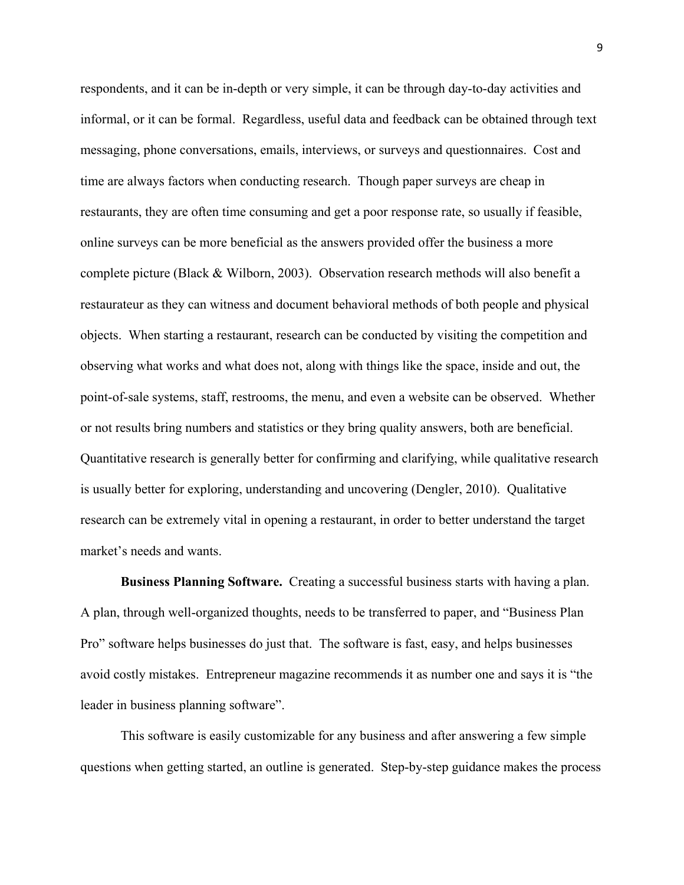respondents, and it can be in-depth or very simple, it can be through day-to-day activities and informal, or it can be formal. Regardless, useful data and feedback can be obtained through text messaging, phone conversations, emails, interviews, or surveys and questionnaires. Cost and time are always factors when conducting research. Though paper surveys are cheap in restaurants, they are often time consuming and get a poor response rate, so usually if feasible, online surveys can be more beneficial as the answers provided offer the business a more complete picture (Black & Wilborn, 2003). Observation research methods will also benefit a restaurateur as they can witness and document behavioral methods of both people and physical objects. When starting a restaurant, research can be conducted by visiting the competition and observing what works and what does not, along with things like the space, inside and out, the point-of-sale systems, staff, restrooms, the menu, and even a website can be observed. Whether or not results bring numbers and statistics or they bring quality answers, both are beneficial. Quantitative research is generally better for confirming and clarifying, while qualitative research is usually better for exploring, understanding and uncovering (Dengler, 2010). Qualitative research can be extremely vital in opening a restaurant, in order to better understand the target market's needs and wants.

**Business Planning Software.** Creating a successful business starts with having a plan. A plan, through well-organized thoughts, needs to be transferred to paper, and "Business Plan Pro" software helps businesses do just that. The software is fast, easy, and helps businesses avoid costly mistakes. Entrepreneur magazine recommends it as number one and says it is "the leader in business planning software".

This software is easily customizable for any business and after answering a few simple questions when getting started, an outline is generated. Step-by-step guidance makes the process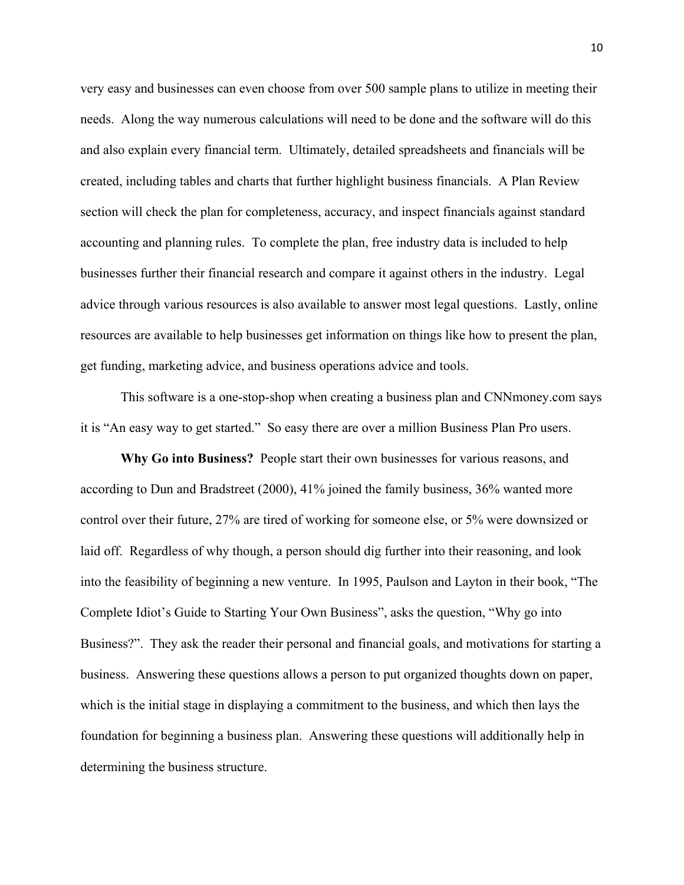very easy and businesses can even choose from over 500 sample plans to utilize in meeting their needs. Along the way numerous calculations will need to be done and the software will do this and also explain every financial term. Ultimately, detailed spreadsheets and financials will be created, including tables and charts that further highlight business financials. A Plan Review section will check the plan for completeness, accuracy, and inspect financials against standard accounting and planning rules. To complete the plan, free industry data is included to help businesses further their financial research and compare it against others in the industry. Legal advice through various resources is also available to answer most legal questions. Lastly, online resources are available to help businesses get information on things like how to present the plan, get funding, marketing advice, and business operations advice and tools.

This software is a one-stop-shop when creating a business plan and CNNmoney.com says it is "An easy way to get started." So easy there are over a million Business Plan Pro users.

**Why Go into Business?** People start their own businesses for various reasons, and according to Dun and Bradstreet (2000), 41% joined the family business, 36% wanted more control over their future, 27% are tired of working for someone else, or 5% were downsized or laid off. Regardless of why though, a person should dig further into their reasoning, and look into the feasibility of beginning a new venture. In 1995, Paulson and Layton in their book, "The Complete Idiot's Guide to Starting Your Own Business", asks the question, "Why go into Business?". They ask the reader their personal and financial goals, and motivations for starting a business. Answering these questions allows a person to put organized thoughts down on paper, which is the initial stage in displaying a commitment to the business, and which then lays the foundation for beginning a business plan. Answering these questions will additionally help in determining the business structure.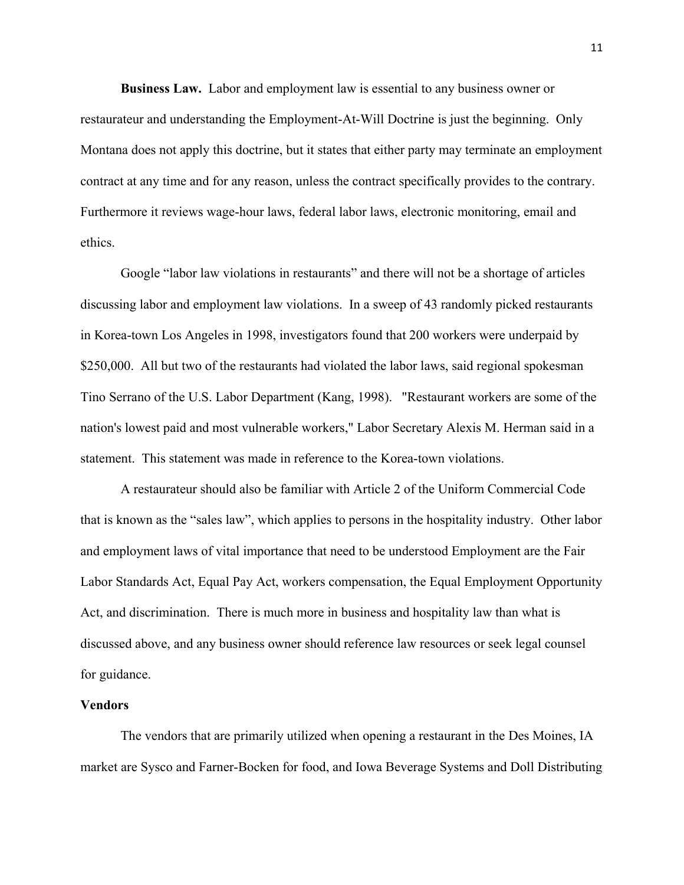**Business Law.** Labor and employment law is essential to any business owner or restaurateur and understanding the Employment-At-Will Doctrine is just the beginning. Only Montana does not apply this doctrine, but it states that either party may terminate an employment contract at any time and for any reason, unless the contract specifically provides to the contrary. Furthermore it reviews wage-hour laws, federal labor laws, electronic monitoring, email and ethics.

Google "labor law violations in restaurants" and there will not be a shortage of articles discussing labor and employment law violations. In a sweep of 43 randomly picked restaurants in Korea-town Los Angeles in 1998, investigators found that 200 workers were underpaid by \$250,000. All but two of the restaurants had violated the labor laws, said regional spokesman Tino Serrano of the U.S. Labor Department (Kang, 1998). "Restaurant workers are some of the nation's lowest paid and most vulnerable workers," Labor Secretary Alexis M. Herman said in a statement. This statement was made in reference to the Korea-town violations.

A restaurateur should also be familiar with Article 2 of the Uniform Commercial Code that is known as the "sales law", which applies to persons in the hospitality industry. Other labor and employment laws of vital importance that need to be understood Employment are the Fair Labor Standards Act, Equal Pay Act, workers compensation, the Equal Employment Opportunity Act, and discrimination. There is much more in business and hospitality law than what is discussed above, and any business owner should reference law resources or seek legal counsel for guidance.

#### **Vendors**

The vendors that are primarily utilized when opening a restaurant in the Des Moines, IA market are Sysco and Farner-Bocken for food, and Iowa Beverage Systems and Doll Distributing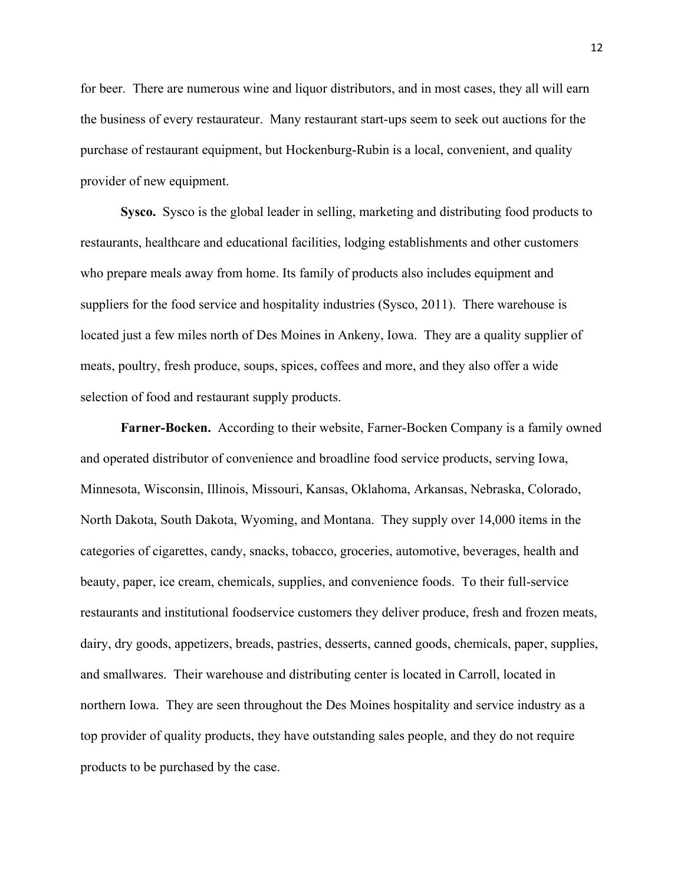for beer. There are numerous wine and liquor distributors, and in most cases, they all will earn the business of every restaurateur. Many restaurant start-ups seem to seek out auctions for the purchase of restaurant equipment, but Hockenburg-Rubin is a local, convenient, and quality provider of new equipment.

**Sysco.** Sysco is the global leader in selling, marketing and distributing food products to restaurants, healthcare and educational facilities, lodging establishments and other customers who prepare meals away from home. Its family of products also includes equipment and suppliers for the food service and hospitality industries (Sysco, 2011). There warehouse is located just a few miles north of Des Moines in Ankeny, Iowa. They are a quality supplier of meats, poultry, fresh produce, soups, spices, coffees and more, and they also offer a wide selection of food and restaurant supply products.

**Farner-Bocken.** According to their website, Farner-Bocken Company is a family owned and operated distributor of convenience and broadline food service products, serving Iowa, Minnesota, Wisconsin, Illinois, Missouri, Kansas, Oklahoma, Arkansas, Nebraska, Colorado, North Dakota, South Dakota, Wyoming, and Montana. They supply over 14,000 items in the categories of cigarettes, candy, snacks, tobacco, groceries, automotive, beverages, health and beauty, paper, ice cream, chemicals, supplies, and convenience foods. To their full-service restaurants and institutional foodservice customers they deliver produce, fresh and frozen meats, dairy, dry goods, appetizers, breads, pastries, desserts, canned goods, chemicals, paper, supplies, and smallwares. Their warehouse and distributing center is located in Carroll, located in northern Iowa. They are seen throughout the Des Moines hospitality and service industry as a top provider of quality products, they have outstanding sales people, and they do not require products to be purchased by the case.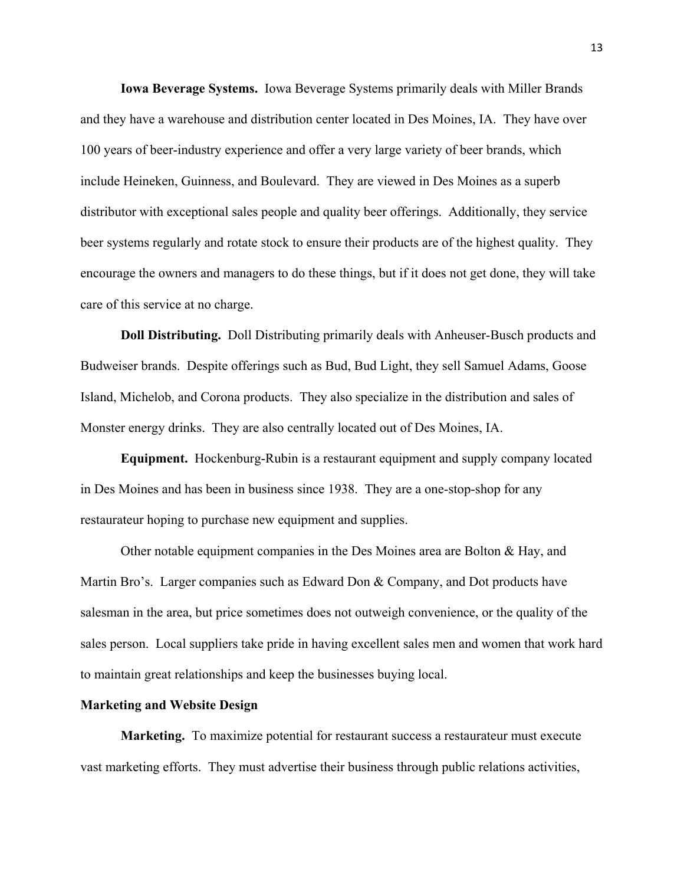**Iowa Beverage Systems.** Iowa Beverage Systems primarily deals with Miller Brands and they have a warehouse and distribution center located in Des Moines, IA. They have over 100 years of beer-industry experience and offer a very large variety of beer brands, which include Heineken, Guinness, and Boulevard. They are viewed in Des Moines as a superb distributor with exceptional sales people and quality beer offerings. Additionally, they service beer systems regularly and rotate stock to ensure their products are of the highest quality. They encourage the owners and managers to do these things, but if it does not get done, they will take care of this service at no charge.

**Doll Distributing.** Doll Distributing primarily deals with Anheuser-Busch products and Budweiser brands. Despite offerings such as Bud, Bud Light, they sell Samuel Adams, Goose Island, Michelob, and Corona products. They also specialize in the distribution and sales of Monster energy drinks. They are also centrally located out of Des Moines, IA.

**Equipment.** Hockenburg-Rubin is a restaurant equipment and supply company located in Des Moines and has been in business since 1938. They are a one-stop-shop for any restaurateur hoping to purchase new equipment and supplies.

Other notable equipment companies in the Des Moines area are Bolton  $\&$  Hay, and Martin Bro's. Larger companies such as Edward Don & Company, and Dot products have salesman in the area, but price sometimes does not outweigh convenience, or the quality of the sales person. Local suppliers take pride in having excellent sales men and women that work hard to maintain great relationships and keep the businesses buying local.

#### **Marketing and Website Design**

**Marketing.** To maximize potential for restaurant success a restaurateur must execute vast marketing efforts. They must advertise their business through public relations activities,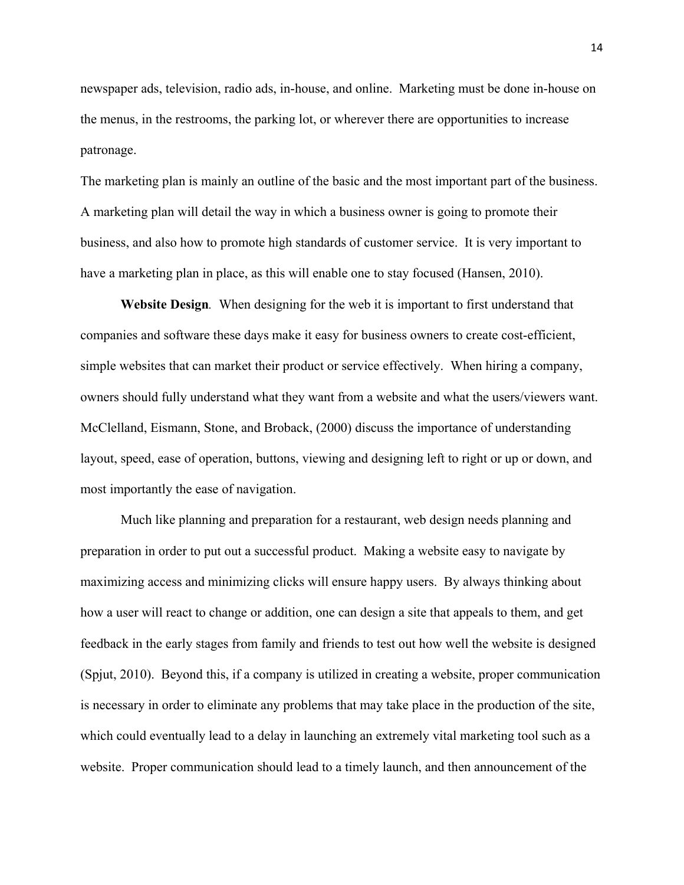newspaper ads, television, radio ads, in-house, and online. Marketing must be done in-house on the menus, in the restrooms, the parking lot, or wherever there are opportunities to increase patronage.

The marketing plan is mainly an outline of the basic and the most important part of the business. A marketing plan will detail the way in which a business owner is going to promote their business, and also how to promote high standards of customer service. It is very important to have a marketing plan in place, as this will enable one to stay focused (Hansen, 2010).

**Website Design***.* When designing for the web it is important to first understand that companies and software these days make it easy for business owners to create cost-efficient, simple websites that can market their product or service effectively. When hiring a company, owners should fully understand what they want from a website and what the users/viewers want. McClelland, Eismann, Stone, and Broback, (2000) discuss the importance of understanding layout, speed, ease of operation, buttons, viewing and designing left to right or up or down, and most importantly the ease of navigation.

Much like planning and preparation for a restaurant, web design needs planning and preparation in order to put out a successful product. Making a website easy to navigate by maximizing access and minimizing clicks will ensure happy users. By always thinking about how a user will react to change or addition, one can design a site that appeals to them, and get feedback in the early stages from family and friends to test out how well the website is designed (Spjut, 2010). Beyond this, if a company is utilized in creating a website, proper communication is necessary in order to eliminate any problems that may take place in the production of the site, which could eventually lead to a delay in launching an extremely vital marketing tool such as a website. Proper communication should lead to a timely launch, and then announcement of the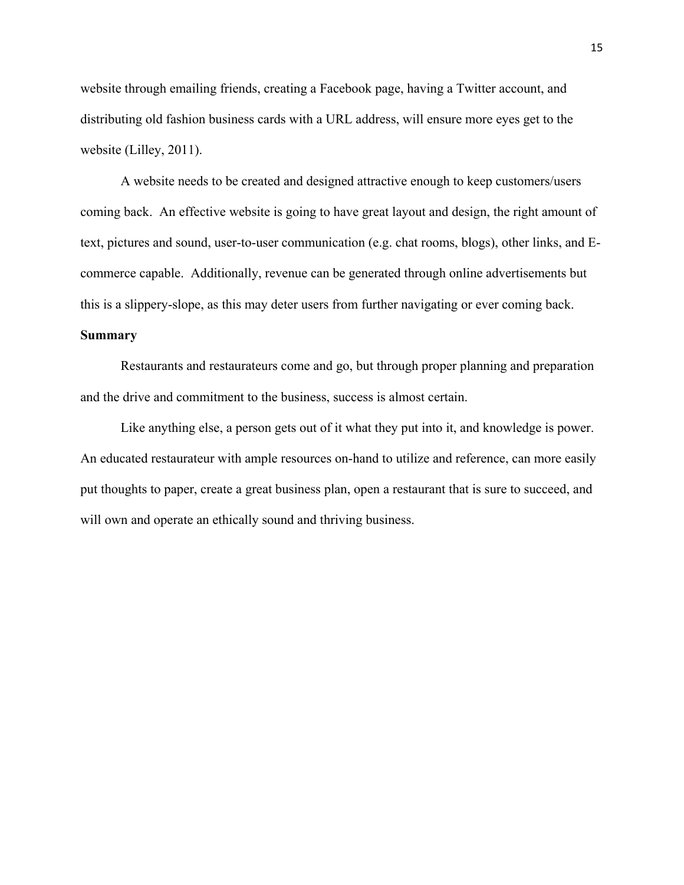website through emailing friends, creating a Facebook page, having a Twitter account, and distributing old fashion business cards with a URL address, will ensure more eyes get to the website (Lilley, 2011).

A website needs to be created and designed attractive enough to keep customers/users coming back. An effective website is going to have great layout and design, the right amount of text, pictures and sound, user-to-user communication (e.g. chat rooms, blogs), other links, and Ecommerce capable. Additionally, revenue can be generated through online advertisements but this is a slippery-slope, as this may deter users from further navigating or ever coming back.

#### **Summary**

Restaurants and restaurateurs come and go, but through proper planning and preparation and the drive and commitment to the business, success is almost certain.

Like anything else, a person gets out of it what they put into it, and knowledge is power. An educated restaurateur with ample resources on-hand to utilize and reference, can more easily put thoughts to paper, create a great business plan, open a restaurant that is sure to succeed, and will own and operate an ethically sound and thriving business.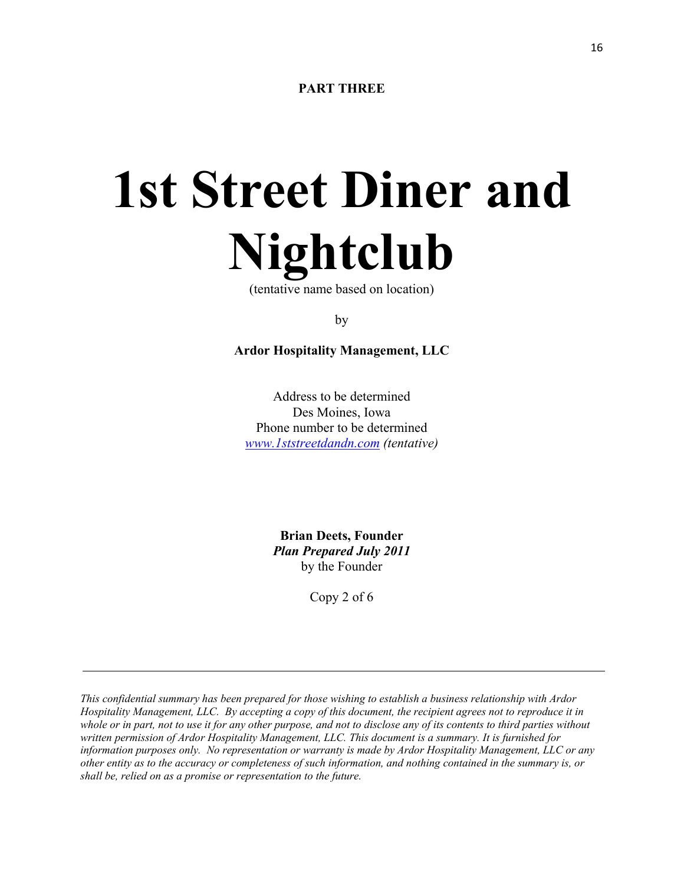# **1st Street Diner and Nightclub**

(tentative name based on location)

by

**Ardor Hospitality Management, LLC**

Address to be determined Des Moines, Iowa Phone number to be determined *[www.1ststreetdandn.com](http://www.1ststreetdandn.com/) (tentative)*

> **Brian Deets, Founder** *Plan Prepared July 2011* by the Founder

> > Copy 2 of 6

*This confidential summary has been prepared for those wishing to establish a business relationship with Ardor Hospitality Management, LLC. By accepting a copy of this document, the recipient agrees not to reproduce it in whole or in part, not to use it for any other purpose, and not to disclose any of its contents to third parties without written permission of Ardor Hospitality Management, LLC. This document is a summary. It is furnished for information purposes only. No representation or warranty is made by Ardor Hospitality Management, LLC or any other entity as to the accuracy or completeness of such information, and nothing contained in the summary is, or shall be, relied on as a promise or representation to the future.*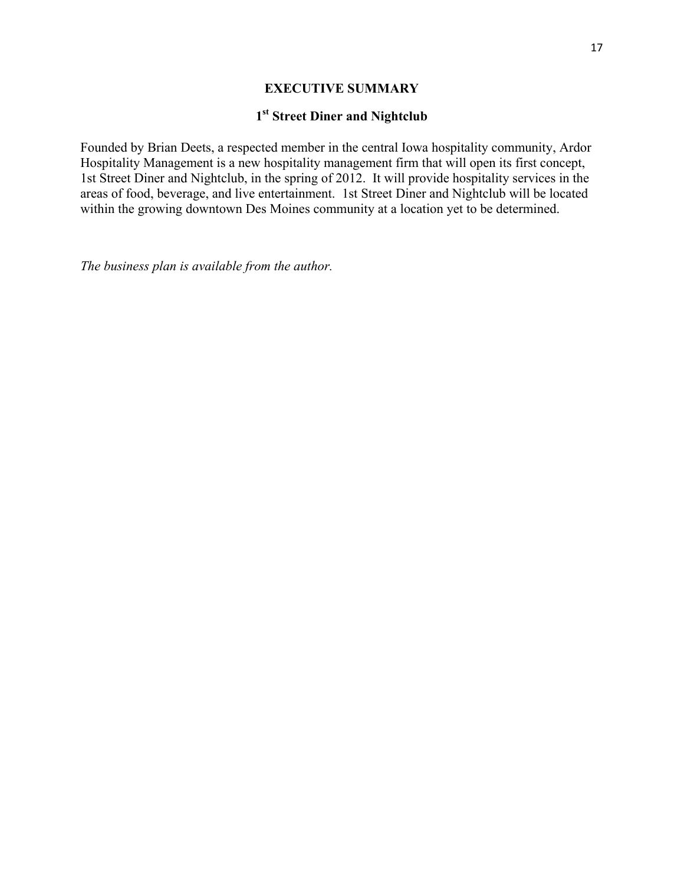#### **EXECUTIVE SUMMARY**

### **1st Street Diner and Nightclub**

Founded by Brian Deets, a respected member in the central Iowa hospitality community, Ardor Hospitality Management is a new hospitality management firm that will open its first concept, 1st Street Diner and Nightclub, in the spring of 2012. It will provide hospitality services in the areas of food, beverage, and live entertainment. 1st Street Diner and Nightclub will be located within the growing downtown Des Moines community at a location yet to be determined.

*The business plan is available from the author.*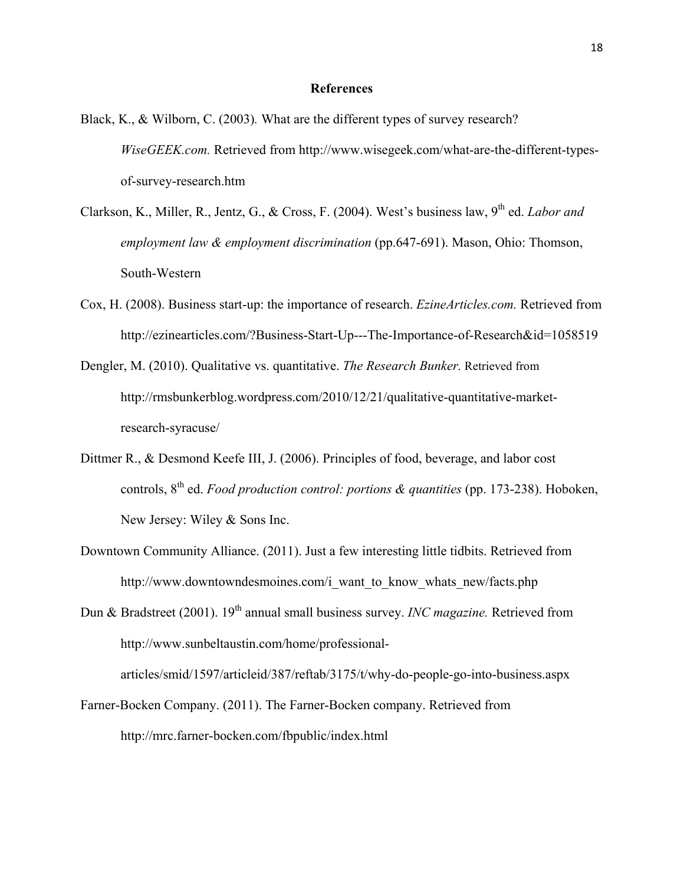#### **References**

- Black, K., & Wilborn, C. (2003)*.* What are the different types of survey research? *WiseGEEK.com.* Retrieved from http://www.wisegeek.com/what-are-the-different-typesof-survey-research.htm
- Clarkson, K., Miller, R., Jentz, G., & Cross, F. (2004). West's business law, 9<sup>th</sup> ed. *Labor and employment law & employment discrimination* (pp.647-691). Mason, Ohio: Thomson, South-Western
- Cox, H. (2008). Business start-up: the importance of research. *EzineArticles.com.* Retrieved from http://ezinearticles.com/?Business-Start-Up---The-Importance-of-Research&id=1058519
- Dengler, M. (2010). Qualitative vs. quantitative. *The Research Bunker.* Retrieved from http://rmsbunkerblog.wordpress.com/2010/12/21/qualitative-quantitative-marketresearch-syracuse/
- Dittmer R., & Desmond Keefe III, J. (2006). Principles of food, beverage, and labor cost controls, 8th ed. *Food production control: portions & quantities* (pp. 173-238). Hoboken, New Jersey: Wiley & Sons Inc.
- Downtown Community Alliance. (2011). Just a few interesting little tidbits. Retrieved from http://www.downtowndesmoines.com/i\_want\_to\_know\_whats\_new/facts.php

Dun & Bradstreet (2001). 19th annual small business survey. *INC magazine.* Retrieved from http://www.sunbeltaustin.com/home/professionalarticles/smid/1597/articleid/387/reftab/3175/t/why-do-people-go-into-business.aspx

Farner-Bocken Company. (2011). The Farner-Bocken company. Retrieved from http://mrc.farner-bocken.com/fbpublic/index.html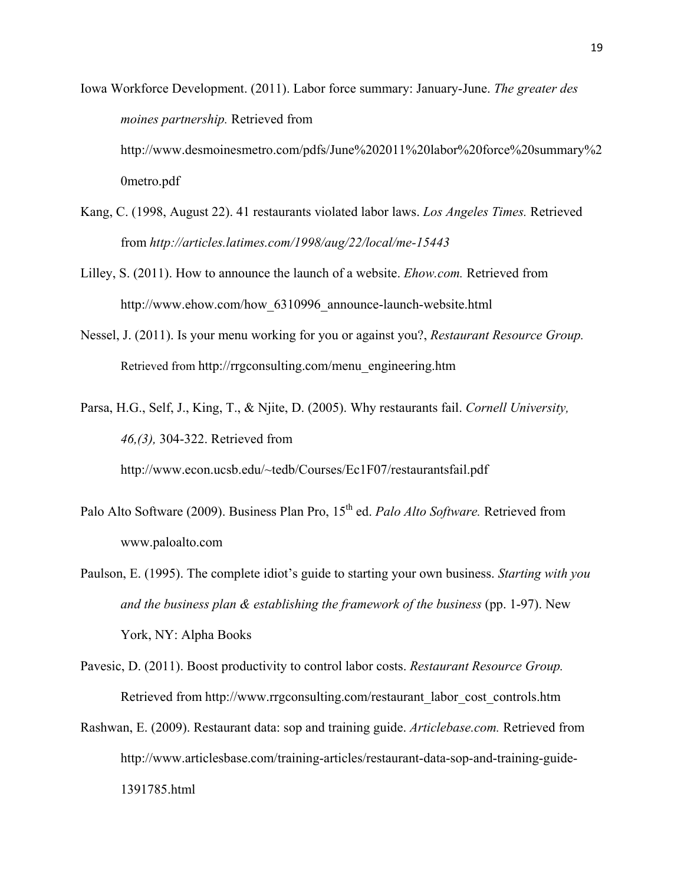Iowa Workforce Development. (2011). Labor force summary: January-June. *The greater des moines partnership.* Retrieved from http://www.desmoinesmetro.com/pdfs/June%202011%20labor%20force%20summary%2 0metro.pdf

- Kang, C. (1998, August 22). 41 restaurants violated labor laws. *Los Angeles Times.* Retrieved from *http://articles.latimes.com/1998/aug/22/local/me-15443*
- Lilley, S. (2011). How to announce the launch of a website. *Ehow.com.* Retrieved from http://www.ehow.com/how 6310996 announce-launch-website.html
- Nessel, J. (2011). Is your menu working for you or against you?, *Restaurant Resource Group.* Retrieved from http://rrgconsulting.com/menu\_engineering.htm
- Parsa, H.G., Self, J., King, T., & Njite, D. (2005). Why restaurants fail. *Cornell University, 46,(3),* 304-322. Retrieved from http://www.econ.ucsb.edu/~tedb/Courses/Ec1F07/restaurantsfail.pdf
- Palo Alto Software (2009). Business Plan Pro, 15<sup>th</sup> ed. *Palo Alto Software*. Retrieved from www.paloalto.com
- Paulson, E. (1995). The complete idiot's guide to starting your own business. *Starting with you and the business plan & establishing the framework of the business* (pp. 1-97). New York, NY: Alpha Books
- Pavesic, D. (2011). Boost productivity to control labor costs. *Restaurant Resource Group.*  Retrieved from http://www.rrgconsulting.com/restaurant\_labor\_cost\_controls.htm
- Rashwan, E. (2009). Restaurant data: sop and training guide. *Articlebase.com.* Retrieved from http://www.articlesbase.com/training-articles/restaurant-data-sop-and-training-guide-1391785.html